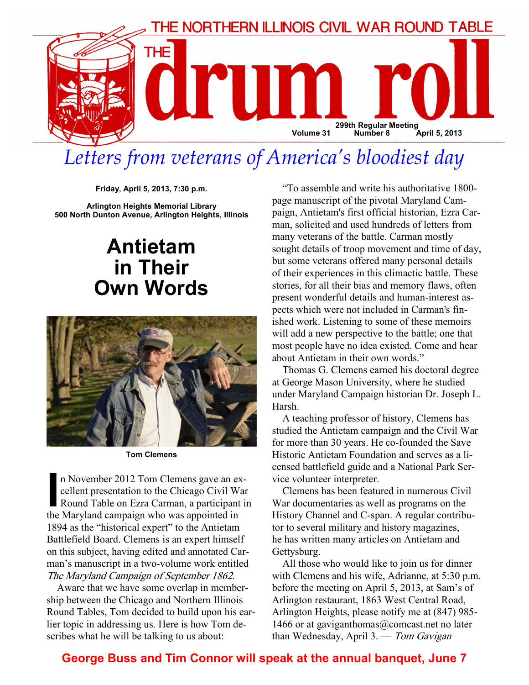

# Letters from veterans of America's bloodiest day

Friday, April 5, 2013, 7:30 p.m.

Arlington Heights Memorial Library 500 North Dunton Avenue, Arlington Heights, Illinois

### Antietam in Their Own Words



Tom Clemens

n November 2012 Tom Clemens gave an ex-<br>cellent presentation to the Chicago Civil War<br>Round Table on Ezra Carman, a participant is<br>the Maryland campaign who was appointed in cellent presentation to the Chicago Civil War Round Table on Ezra Carman, a participant in the Maryland campaign who was appointed in 1894 as the "historical expert" to the Antietam Battlefield Board. Clemens is an expert himself on this subject, having edited and annotated Carman's manuscript in a two-volume work entitled The Maryland Campaign of September 1862.

Aware that we have some overlap in membership between the Chicago and Northern Illinois Round Tables, Tom decided to build upon his earlier topic in addressing us. Here is how Tom describes what he will be talking to us about:

"To assemble and write his authoritative 1800 page manuscript of the pivotal Maryland Campaign, Antietam's first official historian, Ezra Carman, solicited and used hundreds of letters from many veterans of the battle. Carman mostly sought details of troop movement and time of day, but some veterans offered many personal details of their experiences in this climactic battle. These stories, for all their bias and memory flaws, often present wonderful details and human-interest aspects which were not included in Carman's finished work. Listening to some of these memoirs will add a new perspective to the battle; one that most people have no idea existed. Come and hear about Antietam in their own words."

Thomas G. Clemens earned his doctoral degree at George Mason University, where he studied under Maryland Campaign historian Dr. Joseph L. Harsh.

A teaching professor of history, Clemens has studied the Antietam campaign and the Civil War for more than 30 years. He co-founded the Save Historic Antietam Foundation and serves as a licensed battlefield guide and a National Park Service volunteer interpreter.

Clemens has been featured in numerous Civil War documentaries as well as programs on the History Channel and C-span. A regular contributor to several military and history magazines, he has written many articles on Antietam and Gettysburg.

All those who would like to join us for dinner with Clemens and his wife, Adrianne, at 5:30 p.m. before the meeting on April 5, 2013, at Sam's of Arlington restaurant, 1863 West Central Road, Arlington Heights, please notify me at (847) 985- 1466 or at gaviganthomas $@$ comcast.net no later than Wednesday, April 3. — Tom Gavigan

#### George Buss and Tim Connor will speak at the annual banquet, June 7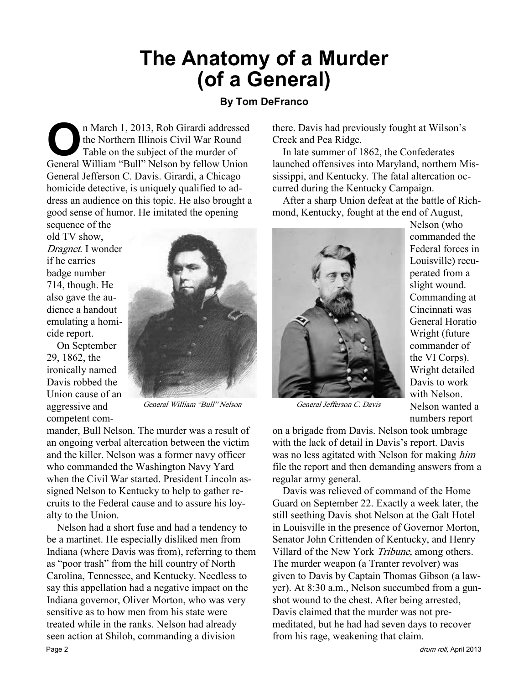## The Anatomy of a Murder (of a General)

#### By Tom DeFranco

n March 1, 2013, Rob Girardi addressed<br>the Northern Illinois Civil War Round<br>Table on the subject of the murder of<br>General William "Bull" Nelson by fellow Union the Northern Illinois Civil War Round Table on the subject of the murder of General William "Bull" Nelson by fellow Union General Jefferson C. Davis. Girardi, a Chicago homicide detective, is uniquely qualified to address an audience on this topic. He also brought a good sense of humor. He imitated the opening sequence of the

old TV show, Dragnet. I wonder if he carries badge number 714, though. He also gave the audience a handout emulating a homicide report.

On September 29, 1862, the ironically named Davis robbed the Union cause of an aggressive and competent com-



General William "Bull" Nelson General Jefferson C. Davis

mander, Bull Nelson. The murder was a result of an ongoing verbal altercation between the victim and the killer. Nelson was a former navy officer who commanded the Washington Navy Yard when the Civil War started. President Lincoln assigned Nelson to Kentucky to help to gather recruits to the Federal cause and to assure his loyalty to the Union.

Nelson had a short fuse and had a tendency to be a martinet. He especially disliked men from Indiana (where Davis was from), referring to them as "poor trash" from the hill country of North Carolina, Tennessee, and Kentucky. Needless to say this appellation had a negative impact on the Indiana governor, Oliver Morton, who was very sensitive as to how men from his state were treated while in the ranks. Nelson had already seen action at Shiloh, commanding a division Page 2 drum roll, April 2013

there. Davis had previously fought at Wilson's Creek and Pea Ridge.

In late summer of 1862, the Confederates launched offensives into Maryland, northern Mississippi, and Kentucky. The fatal altercation occurred during the Kentucky Campaign.

After a sharp Union defeat at the battle of Richmond, Kentucky, fought at the end of August,



Nelson (who commanded the Federal forces in Louisville) recuperated from a slight wound. Commanding at Cincinnati was General Horatio Wright (future commander of the VI Corps). Wright detailed Davis to work with Nelson. Nelson wanted a numbers report

on a brigade from Davis. Nelson took umbrage with the lack of detail in Davis's report. Davis was no less agitated with Nelson for making *him* file the report and then demanding answers from a regular army general.

Davis was relieved of command of the Home Guard on September 22. Exactly a week later, the still seething Davis shot Nelson at the Galt Hotel in Louisville in the presence of Governor Morton, Senator John Crittenden of Kentucky, and Henry Villard of the New York Tribune, among others. The murder weapon (a Tranter revolver) was given to Davis by Captain Thomas Gibson (a lawyer). At 8:30 a.m., Nelson succumbed from a gunshot wound to the chest. After being arrested, Davis claimed that the murder was not premeditated, but he had had seven days to recover from his rage, weakening that claim.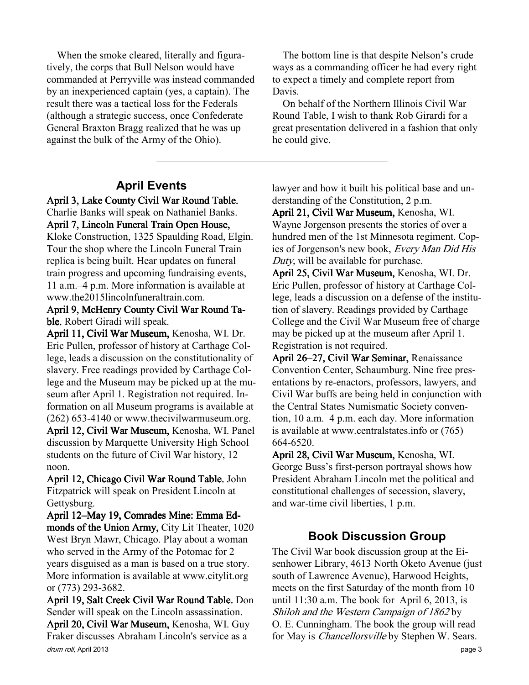When the smoke cleared, literally and figuratively, the corps that Bull Nelson would have commanded at Perryville was instead commanded by an inexperienced captain (yes, a captain). The result there was a tactical loss for the Federals (although a strategic success, once Confederate General Braxton Bragg realized that he was up against the bulk of the Army of the Ohio).

#### April Events

April 3, Lake County Civil War Round Table. Charlie Banks will speak on Nathaniel Banks. April 7, Lincoln Funeral Train Open House, Kloke Construction, 1325 Spaulding Road, Elgin. Tour the shop where the Lincoln Funeral Train replica is being built. Hear updates on funeral train progress and upcoming fundraising events, 11 a.m.–4 p.m. More information is available at www.the2015lincolnfuneraltrain.com.

April 9, McHenry County Civil War Round Table. Robert Giradi will speak.

April 11, Civil War Museum, Kenosha, WI. Dr. Eric Pullen, professor of history at Carthage College, leads a discussion on the constitutionality of slavery. Free readings provided by Carthage College and the Museum may be picked up at the museum after April 1. Registration not required. Information on all Museum programs is available at (262) 653-4140 or www.thecivilwarmuseum.org. April 12, Civil War Museum, Kenosha, WI. Panel discussion by Marquette University High School students on the future of Civil War history, 12 noon.

April 12, Chicago Civil War Round Table. John Fitzpatrick will speak on President Lincoln at Gettysburg.

April 12–May 19, Comrades Mine: Emma Edmonds of the Union Army, City Lit Theater, 1020 West Bryn Mawr, Chicago. Play about a woman who served in the Army of the Potomac for 2 years disguised as a man is based on a true story. More information is available at www.citylit.org or (773) 293-3682.

drum roll, April 2013 **page 3** April 19, Salt Creek Civil War Round Table. Don Sender will speak on the Lincoln assassination. April 20, Civil War Museum, Kenosha, WI. Guy Fraker discusses Abraham Lincoln's service as a

The bottom line is that despite Nelson's crude ways as a commanding officer he had every right to expect a timely and complete report from Davis.

On behalf of the Northern Illinois Civil War Round Table, I wish to thank Rob Girardi for a great presentation delivered in a fashion that only he could give.

lawyer and how it built his political base and understanding of the Constitution, 2 p.m.

April 21, Civil War Museum, Kenosha, WI. Wayne Jorgenson presents the stories of over a hundred men of the 1st Minnesota regiment. Copies of Jorgenson's new book, Every Man Did His Duty, will be available for purchase.

April 25, Civil War Museum, Kenosha, WI. Dr. Eric Pullen, professor of history at Carthage College, leads a discussion on a defense of the institution of slavery. Readings provided by Carthage College and the Civil War Museum free of charge may be picked up at the museum after April 1. Registration is not required.

April 26–27, Civil War Seminar, Renaissance Convention Center, Schaumburg. Nine free presentations by re-enactors, professors, lawyers, and Civil War buffs are being held in conjunction with the Central States Numismatic Society convention, 10 a.m.–4 p.m. each day. More information is available at www.centralstates.info or (765) 664-6520.

April 28, Civil War Museum, Kenosha, WI. George Buss's first-person portrayal shows how President Abraham Lincoln met the political and constitutional challenges of secession, slavery, and war-time civil liberties, 1 p.m.

#### Book Discussion Group

The Civil War book discussion group at the Eisenhower Library, 4613 North Oketo Avenue (just south of Lawrence Avenue), Harwood Heights, meets on the first Saturday of the month from 10 until 11:30 a.m. The book for April 6, 2013, is Shiloh and the Western Campaign of 1862 by O. E. Cunningham. The book the group will read for May is Chancellorsville by Stephen W. Sears.